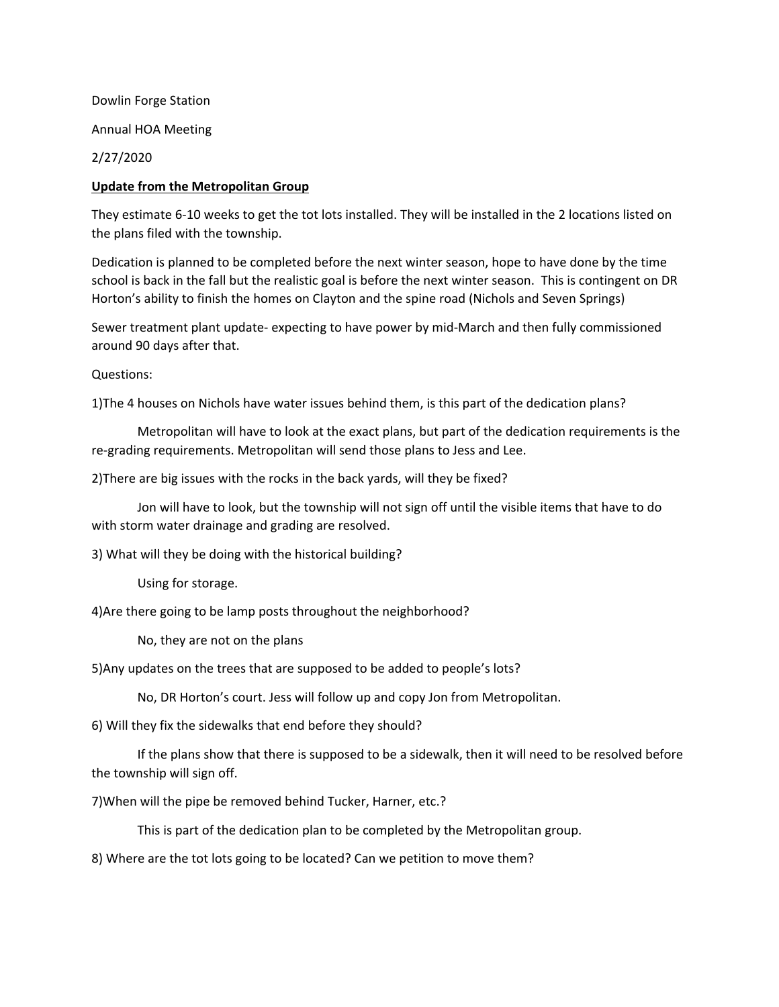Dowlin Forge Station Annual HOA Meeting 2/27/2020

## **Update from the Metropolitan Group**

They estimate 6-10 weeks to get the tot lots installed. They will be installed in the 2 locations listed on the plans filed with the township.

Dedication is planned to be completed before the next winter season, hope to have done by the time school is back in the fall but the realistic goal is before the next winter season. This is contingent on DR Horton's ability to finish the homes on Clayton and the spine road (Nichols and Seven Springs)

Sewer treatment plant update- expecting to have power by mid-March and then fully commissioned around 90 days after that.

Questions:

1)The 4 houses on Nichols have water issues behind them, is this part of the dedication plans?

Metropolitan will have to look at the exact plans, but part of the dedication requirements is the re-grading requirements. Metropolitan will send those plans to Jess and Lee.

2)There are big issues with the rocks in the back yards, will they be fixed?

Jon will have to look, but the township will not sign off until the visible items that have to do with storm water drainage and grading are resolved.

3) What will they be doing with the historical building?

Using for storage.

4)Are there going to be lamp posts throughout the neighborhood?

No, they are not on the plans

5)Any updates on the trees that are supposed to be added to people's lots?

No, DR Horton's court. Jess will follow up and copy Jon from Metropolitan.

6) Will they fix the sidewalks that end before they should?

If the plans show that there is supposed to be a sidewalk, then it will need to be resolved before the township will sign off.

7)When will the pipe be removed behind Tucker, Harner, etc.?

This is part of the dedication plan to be completed by the Metropolitan group.

8) Where are the tot lots going to be located? Can we petition to move them?